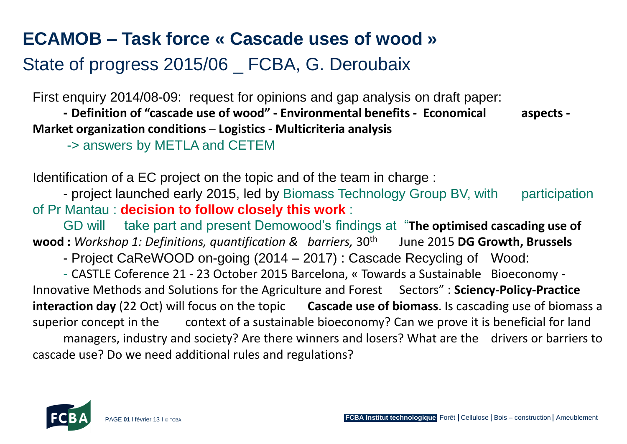## **ECAMOB – Task force « Cascade uses of wood »**

## State of progress 2015/06 \_ FCBA, G. Deroubaix

First enquiry 2014/08-09: request for opinions and gap analysis on draft paper:

**- Definition of "cascade use of wood" - Environmental benefits - Economical aspects - Market organization conditions** – **Logistics** - **Multicriteria analysis**

-> answers by METLA and CETEM

Identification of a EC project on the topic and of the team in charge :

- project launched early 2015, led by Biomass Technology Group BV, with participation of Pr Mantau : **decision to follow closely this work** :

GD will take part and present Demowood's findings at "**The optimised cascading use of wood :** *Workshop 1: Definitions, quantification & barriers,* 30<sup>th</sup> June 2015 **DG Growth, Brussels** 

- Project CaReWOOD on-going (2014 – 2017) : Cascade Recycling of Wood:

- CASTLE Coference 21 - 23 October 2015 Barcelona, « Towards a Sustainable Bioeconomy - Innovative Methods and Solutions for the Agriculture and Forest Sectors": Sciency-Policy-Practice **interaction day** (22 Oct) will focus on the topic **Cascade use of biomass**. Is cascading use of biomass a superior concept in the context of a sustainable bioeconomy? Can we prove it is beneficial for land managers, industry and society? Are there winners and losers? What are the drivers or barriers to cascade use? Do we need additional rules and regulations?